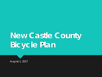# **New Castle County Bicycle Plan**

August 1, 2017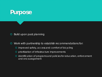

**O** Build upon past planning

- Work with partnership to establish recommendations for:
	- improved safety, access and comfort of bicycling
	- prioritization of infrastructure improvements
	- identification of programs and policies for education, enforcement and encouragement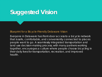### **Suggested Vision**

#### Blueprint for a Bicycle-Friendly Delaware Vision

Everyone in Delaware has front-door access to a bicycle network that is safe, comfortable, and conveniently connected to places people want to go. A seamlessly integrated transportation and land use decision-making process, with many partners working together, encourages a culture where people choose bicycling in their daily lives for transportation, recreation, and improved health.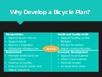## **Why Develop a Bicycle Plan?**

**Bicycling**

#### **Transportation**

- Expand travel choices
- Support transit
- Reduce congestion
- Affordable infrastructure

#### **Environment**

- Promote better land use coordination
- Improve air quality
- Give access to nature and historic resources

#### **Health and Quality of Life**

- Support healthy, active lifestyles
- Provide recreation
- Inspire community pride

#### **Economic Development**

- Support local business
- Attract new business
- Promote tourism
- Increase land value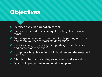### **Objectives**

**O** Identify bicycle transportation network

- Identify measures to provide equitable bicycle access to transit
- Encourage adequate and secure bicycle parking and other end-of-trip faculties at major trip destinations
- **O** Improve safety for bicycling through design, maintenance, and enforcement practices
- Incorporate bicycle elements into land use and development planning
- Establish collaborative strategies to collect and share data
- **O** Develop implementation and evaluation plan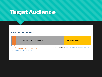### **Target Audience**

#### **THE FOUR TYPES OF BICYCLISTS**

Interested, but concerned –  $60\%$  No interest –  $33\%$ 

Strong and fearless – 1% Enthused and confident – 6% **Source: Roger Geller, www.portlandoregon.gov/transportation**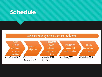### **Schedule**



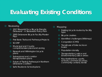## **Evaluating Existing Conditions**

- **O** Reviewing:
	- **O** 2017 Blueprint for a Bicycle-Friendly Delaware – A Statewide Policy Plan
	- **O** 2005 Delaware Bicycle Facility Master Plan
	- First State Trails and Pathways Projects
	- O SCORP
	- **O** Municipal and County comprehensive plans and zoning
	- **O** Newark and Wilmington bicycle plans
	- Subregional and corridor transportation plans
	- Future of Trails & Pathways in Northern Delaware Coalition
	- **O** Safe Routes to Schools plans
- O Mapping:
	- **O** Existing bicycle routes by facility type
	- **O** Bicycle crashes
	- Identified challenges (Wikimap)
	- **O** Congestion (CMS)
	- Transit/use of bike racks on buses
	- Population density
	- **O** Transportation Justice and Environmental Justice areas
	- O Key destinations-parks, schools, commercial areas, community centers, transit